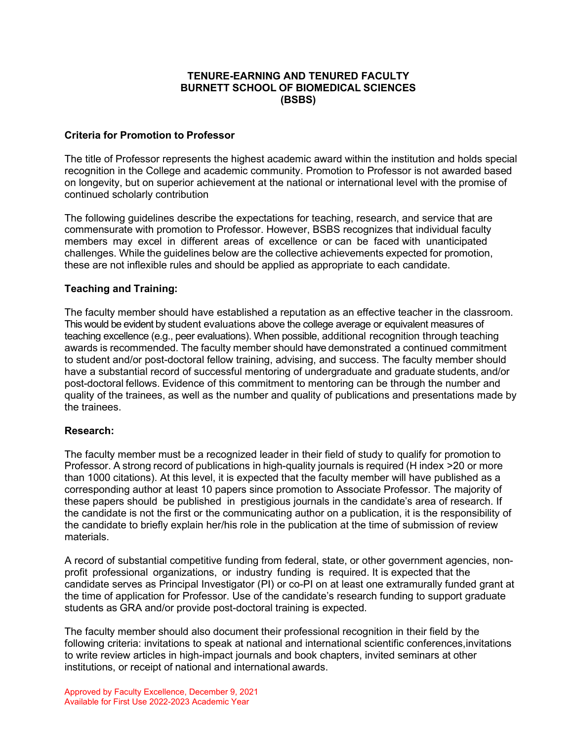## **TENURE-EARNING AND TENURED FACULTY BURNETT SCHOOL OF BIOMEDICAL SCIENCES (BSBS)**

#### **Criteria for Promotion to Professor**

The title of Professor represents the highest academic award within the institution and holds special recognition in the College and academic community. Promotion to Professor is not awarded based on longevity, but on superior achievement at the national or international level with the promise of continued scholarly contribution

The following guidelines describe the expectations for teaching, research, and service that are commensurate with promotion to Professor. However, BSBS recognizes that individual faculty members may excel in different areas of excellence or can be faced with unanticipated challenges. While the guidelines below are the collective achievements expected for promotion, these are not inflexible rules and should be applied as appropriate to each candidate.

#### **Teaching and Training:**

The faculty member should have established a reputation as an effective teacher in the classroom. This would be evident by student evaluations above the college average or equivalent measures of teaching excellence (e.g., peer evaluations). When possible, additional recognition through teaching awards is recommended. The faculty member should have demonstrated a continued commitment to student and/or post-doctoral fellow training, advising, and success. The faculty member should have a substantial record of successful mentoring of undergraduate and graduate students, and/or post-doctoral fellows. Evidence of this commitment to mentoring can be through the number and quality of the trainees, as well as the number and quality of publications and presentations made by the trainees.

## **Research:**

The faculty member must be a recognized leader in their field of study to qualify for promotion to Professor. A strong record of publications in high-quality journals is required (H index >20 or more than 1000 citations). At this level, it is expected that the faculty member will have published as a corresponding author at least 10 papers since promotion to Associate Professor. The majority of these papers should be published in prestigious journals in the candidate's area of research. If the candidate is not the first or the communicating author on a publication, it is the responsibility of the candidate to briefly explain her/his role in the publication at the time of submission of review materials.

A record of substantial competitive funding from federal, state, or other government agencies, nonprofit professional organizations, or industry funding is required. It is expected that the candidate serves as Principal Investigator (PI) or co-PI on at least one extramurally funded grant at the time of application for Professor. Use of the candidate's research funding to support graduate students as GRA and/or provide post-doctoral training is expected.

The faculty member should also document their professional recognition in their field by the following criteria: invitations to speak at national and international scientific conferences,invitations to write review articles in high-impact journals and book chapters, invited seminars at other institutions, or receipt of national and international awards.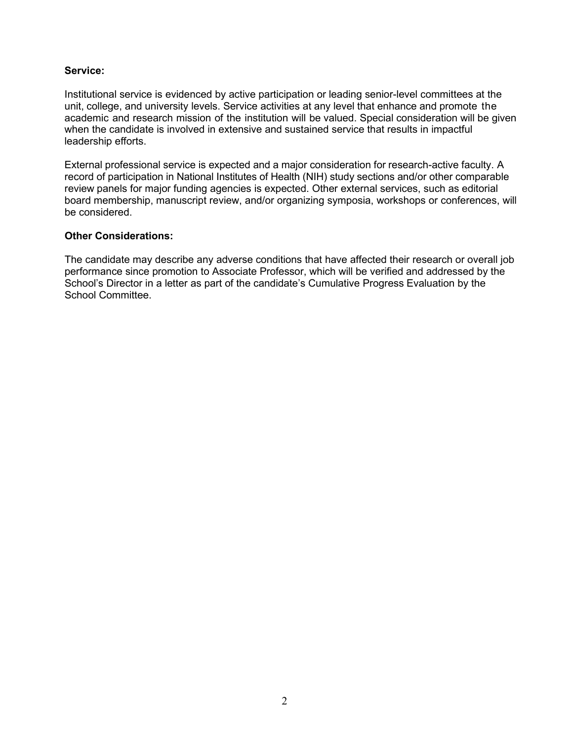### **Service:**

Institutional service is evidenced by active participation or leading senior-level committees at the unit, college, and university levels. Service activities at any level that enhance and promote the academic and research mission of the institution will be valued. Special consideration will be given when the candidate is involved in extensive and sustained service that results in impactful leadership efforts.

External professional service is expected and a major consideration for research-active faculty. A record of participation in National Institutes of Health (NIH) study sections and/or other comparable review panels for major funding agencies is expected. Other external services, such as editorial board membership, manuscript review, and/or organizing symposia, workshops or conferences, will be considered.

#### **Other Considerations:**

The candidate may describe any adverse conditions that have affected their research or overall job performance since promotion to Associate Professor, which will be verified and addressed by the School's Director in a letter as part of the candidate's Cumulative Progress Evaluation by the School Committee.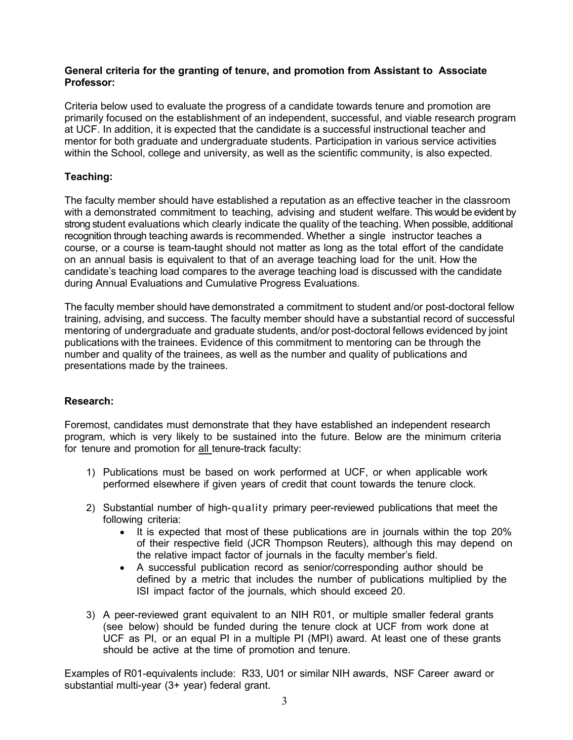## **General criteria for the granting of tenure, and promotion from Assistant to Associate Professor:**

Criteria below used to evaluate the progress of a candidate towards tenure and promotion are primarily focused on the establishment of an independent, successful, and viable research program at UCF. In addition, it is expected that the candidate is a successful instructional teacher and mentor for both graduate and undergraduate students. Participation in various service activities within the School, college and university, as well as the scientific community, is also expected.

# **Teaching:**

The faculty member should have established a reputation as an effective teacher in the classroom with a demonstrated commitment to teaching, advising and student welfare. This would be evident by strong student evaluations which clearly indicate the quality of the teaching. When possible, additional recognition through teaching awards is recommended. Whether a single instructor teaches a course, or a course is team-taught should not matter as long as the total effort of the candidate on an annual basis is equivalent to that of an average teaching load for the unit. How the candidate's teaching load compares to the average teaching load is discussed with the candidate during Annual Evaluations and Cumulative Progress Evaluations.

The faculty member should have demonstrated a commitment to student and/or post-doctoral fellow training, advising, and success. The faculty member should have a substantial record of successful mentoring of undergraduate and graduate students, and/or post-doctoral fellows evidenced by joint publications with the trainees. Evidence of this commitment to mentoring can be through the number and quality of the trainees, as well as the number and quality of publications and presentations made by the trainees.

## **Research:**

Foremost, candidates must demonstrate that they have established an independent research program, which is very likely to be sustained into the future. Below are the minimum criteria for tenure and promotion for all tenure-track faculty:

- 1) Publications must be based on work performed at UCF, or when applicable work performed elsewhere if given years of credit that count towards the tenure clock.
- 2) Substantial number of high-quality primary peer-reviewed publications that meet the following criteria:
	- It is expected that most of these publications are in journals within the top 20% of their respective field (JCR Thompson Reuters), although this may depend on the relative impact factor of journals in the faculty member's field.
	- A successful publication record as senior/corresponding author should be defined by a metric that includes the number of publications multiplied by the ISI impact factor of the journals, which should exceed 20.
- 3) A peer-reviewed grant equivalent to an NIH R01, or multiple smaller federal grants (see below) should be funded during the tenure clock at UCF from work done at UCF as PI, or an equal PI in a multiple PI (MPI) award. At least one of these grants should be active at the time of promotion and tenure.

Examples of R01-equivalents include: R33, U01 or similar NIH awards, NSF Career award or substantial multi-year (3+ year) federal grant.